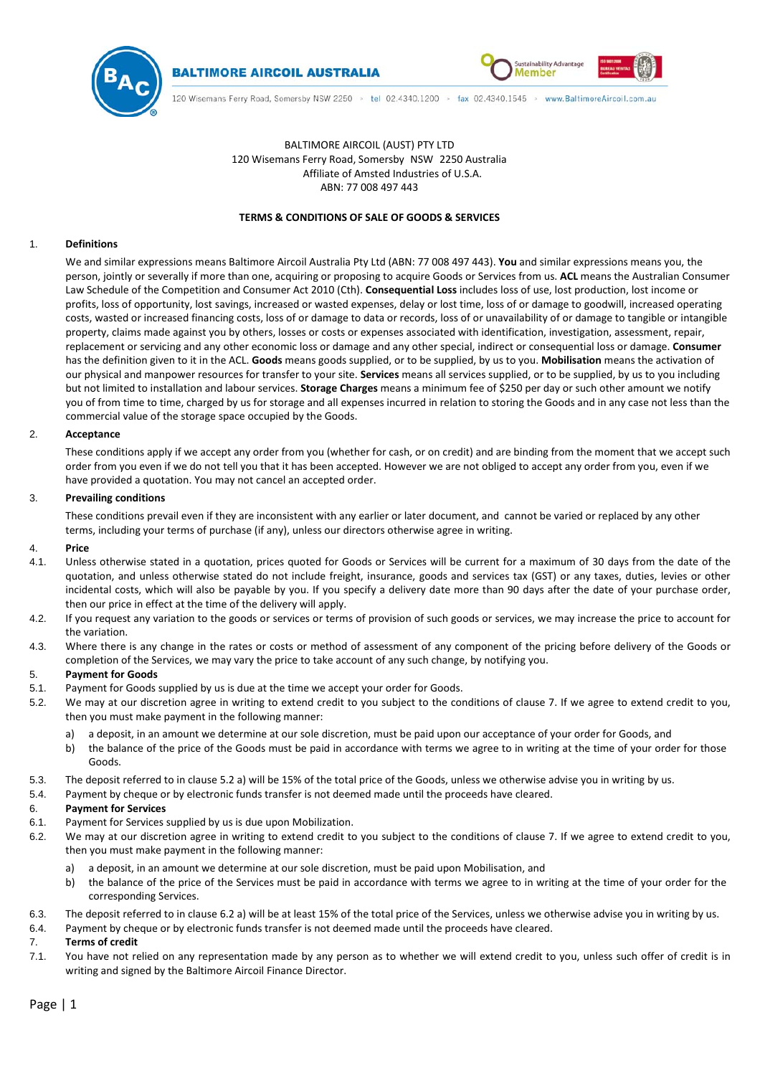



# BALTIMORE AIRCOIL (AUST) PTY LTD 120 Wisemans Ferry Road, Somersby NSW 2250 Australia Affiliate of Amsted Industries of U.S.A. ABN: 77 008 497 443

# **TERMS & CONDITIONS OF SALE OF GOODS & SERVICES**

## 1. **Definitions**

We and similar expressions means Baltimore Aircoil Australia Pty Ltd (ABN: 77 008 497 443). **You** and similar expressions means you, the person, jointly or severally if more than one, acquiring or proposing to acquire Goods or Services from us. **ACL** means the Australian Consumer Law Schedule of the Competition and Consumer Act 2010 (Cth). **Consequential Loss** includes loss of use, lost production, lost income or profits, loss of opportunity, lost savings, increased or wasted expenses, delay or lost time, loss of or damage to goodwill, increased operating costs, wasted or increased financing costs, loss of or damage to data or records, loss of or unavailability of or damage to tangible or intangible property, claims made against you by others, losses or costs or expenses associated with identification, investigation, assessment, repair, replacement or servicing and any other economic loss or damage and any other special, indirect or consequential loss or damage. **Consumer** has the definition given to it in the ACL. **Goods** means goods supplied, or to be supplied, by us to you. **Mobilisation** means the activation of our physical and manpower resources for transfer to your site. **Services** means all services supplied, or to be supplied, by us to you including but not limited to installation and labour services. **Storage Charges** means a minimum fee of \$250 per day or such other amount we notify you of from time to time, charged by us for storage and all expenses incurred in relation to storing the Goods and in any case not less than the commercial value of the storage space occupied by the Goods.

# 2. **Acceptance**

These conditions apply if we accept any order from you (whether for cash, or on credit) and are binding from the moment that we accept such order from you even if we do not tell you that it has been accepted. However we are not obliged to accept any order from you, even if we have provided a quotation. You may not cancel an accepted order.

# 3. **Prevailing conditions**

These conditions prevail even if they are inconsistent with any earlier or later document, and cannot be varied or replaced by any other terms, including your terms of purchase (if any), unless our directors otherwise agree in writing.

# 4. **Price**

- 4.1. Unless otherwise stated in a quotation, prices quoted for Goods or Services will be current for a maximum of 30 days from the date of the quotation, and unless otherwise stated do not include freight, insurance, goods and services tax (GST) or any taxes, duties, levies or other incidental costs, which will also be payable by you. If you specify a delivery date more than 90 days after the date of your purchase order, then our price in effect at the time of the delivery will apply.
- 4.2. If you request any variation to the goods or services or terms of provision of such goods or services, we may increase the price to account for the variation.
- 4.3. Where there is any change in the rates or costs or method of assessment of any component of the pricing before delivery of the Goods or completion of the Services, we may vary the price to take account of any such change, by notifying you.

# 5. **Payment for Goods**

- 5.1. Payment for Goods supplied by us is due at the time we accept your order for Goods.
- 5.2. We may at our discretion agree in writing to extend credit to you subject to the conditions of clause [7.](#page-0-0) If we agree to extend credit to you, then you must make payment in the following manner:
	- a) a deposit, in an amount we determine at our sole discretion, must be paid upon our acceptance of your order for Goods, and
	- b) the balance of the price of the Goods must be paid in accordance with terms we agree to in writing at the time of your order for those Goods.
- 5.3. The deposit referred to in clause 5.2 a) will be 15% of the total price of the Goods, unless we otherwise advise you in writing by us.
- 5.4. Payment by cheque or by electronic funds transfer is not deemed made until the proceeds have cleared.

# 6. **Payment for Services**

- 6.1. Payment for Services supplied by us is due upon Mobilization.
- <span id="page-0-2"></span><span id="page-0-1"></span>6.2. We may at our discretion agree in writing to extend credit to you subject to the conditions of clause [7.](#page-0-0) If we agree to extend credit to you, then you must make payment in the following manner:
	- a) a deposit, in an amount we determine at our sole discretion, must be paid upon Mobilisation, and
	- b) the balance of the price of the Services must be paid in accordance with terms we agree to in writing at the time of your order for the corresponding Services.
- 6.3. The deposit referred to in claus[e 6.2](#page-0-1) [a\)](#page-0-2) will be at least 15% of the total price of the Services, unless we otherwise advise you in writing by us.
- 6.4. Payment by cheque or by electronic funds transfer is not deemed made until the proceeds have cleared.

#### <span id="page-0-0"></span>7. **Terms of credit**

7.1. You have not relied on any representation made by any person as to whether we will extend credit to you, unless such offer of credit is in writing and signed by the Baltimore Aircoil Finance Director.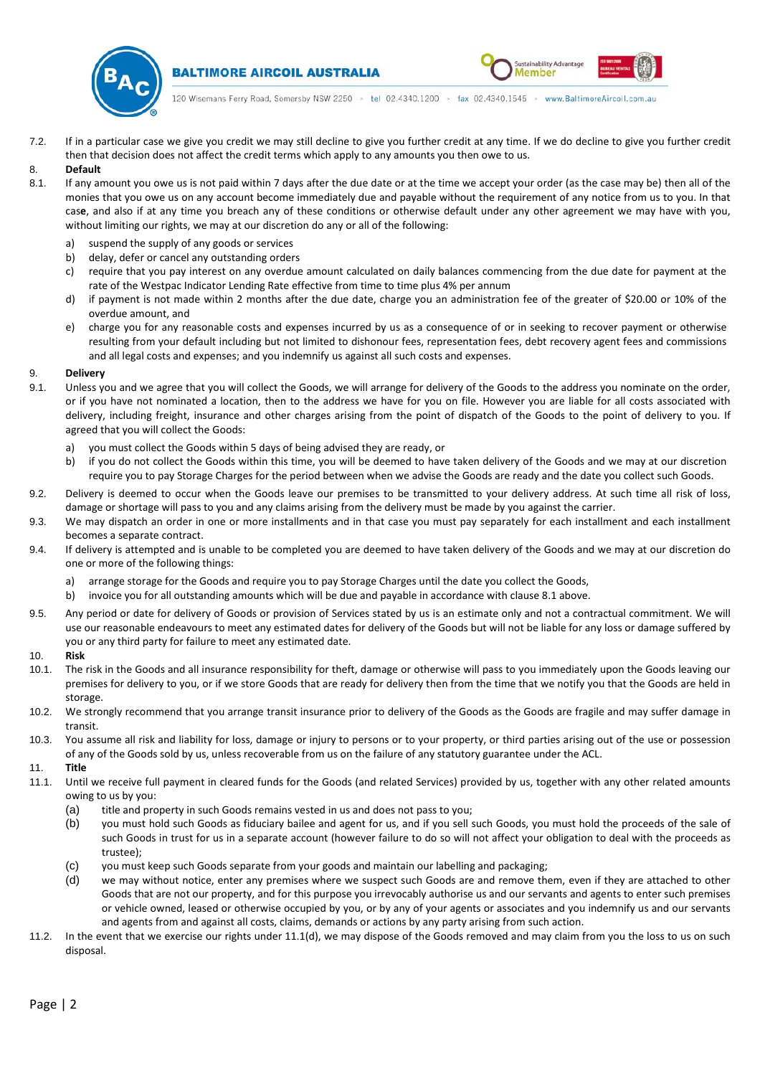

**BALTIMORE AIRCOIL AUSTRALIA** 

120 Wisemans Ferry Road, Somersby NSW 2250 > tel 02.4340.1200 > fax 02.4340.1545 > www.BaltimoreAircoil.com.au

ustainability Advantag

Member

7.2. If in a particular case we give you credit we may still decline to give you further credit at any time. If we do decline to give you further credit then that decision does not affect the credit terms which apply to any amounts you then owe to us.

# 8. **Default**

- <span id="page-1-0"></span>8.1. If any amount you owe us is not paid within 7 days after the due date or at the time we accept your order (as the case may be) then all of the monies that you owe us on any account become immediately due and payable without the requirement of any notice from us to you. In that cas**e**, and also if at any time you breach any of these conditions or otherwise default under any other agreement we may have with you, without limiting our rights, we may at our discretion do any or all of the following:
	- a) suspend the supply of any goods or services
	- b) delay, defer or cancel any outstanding orders
	- c) require that you pay interest on any overdue amount calculated on daily balances commencing from the due date for payment at the rate of the Westpac Indicator Lending Rate effective from time to time plus 4% per annum
	- d) if payment is not made within 2 months after the due date, charge you an administration fee of the greater of \$20.00 or 10% of the overdue amount, and
	- e) charge you for any reasonable costs and expenses incurred by us as a consequence of or in seeking to recover payment or otherwise resulting from your default including but not limited to dishonour fees, representation fees, debt recovery agent fees and commissions and all legal costs and expenses; and you indemnify us against all such costs and expenses.

#### 9. **Delivery**

- 9.1. Unless you and we agree that you will collect the Goods, we will arrange for delivery of the Goods to the address you nominate on the order, or if you have not nominated a location, then to the address we have for you on file. However you are liable for all costs associated with delivery, including freight, insurance and other charges arising from the point of dispatch of the Goods to the point of delivery to you. If agreed that you will collect the Goods:
	- a) you must collect the Goods within 5 days of being advised they are ready, or
	- b) if you do not collect the Goods within this time, you will be deemed to have taken delivery of the Goods and we may at our discretion require you to pay Storage Charges for the period between when we advise the Goods are ready and the date you collect such Goods.
- 9.2. Delivery is deemed to occur when the Goods leave our premises to be transmitted to your delivery address. At such time all risk of loss, damage or shortage will pass to you and any claims arising from the delivery must be made by you against the carrier.
- 9.3. We may dispatch an order in one or more installments and in that case you must pay separately for each installment and each installment becomes a separate contract.
- 9.4. If delivery is attempted and is unable to be completed you are deemed to have taken delivery of the Goods and we may at our discretion do one or more of the following things:
	- a) arrange storage for the Goods and require you to pay Storage Charges until the date you collect the Goods,
	- b) invoice you for all outstanding amounts which will be due and payable in accordance with claus[e 8.1](#page-1-0) above.
- 9.5. Any period or date for delivery of Goods or provision of Services stated by us is an estimate only and not a contractual commitment. We will use our reasonable endeavours to meet any estimated dates for delivery of the Goods but will not be liable for any loss or damage suffered by you or any third party for failure to meet any estimated date.

#### 10. **Risk**

- 10.1. The risk in the Goods and all insurance responsibility for theft, damage or otherwise will pass to you immediately upon the Goods leaving our premises for delivery to you, or if we store Goods that are ready for delivery then from the time that we notify you that the Goods are held in storage.
- 10.2. We strongly recommend that you arrange transit insurance prior to delivery of the Goods as the Goods are fragile and may suffer damage in transit.
- 10.3. You assume all risk and liability for loss, damage or injury to persons or to your property, or third parties arising out of the use or possession of any of the Goods sold by us, unless recoverable from us on the failure of any statutory guarantee under the ACL.

## 11. **Title**

- 11.1. Until we receive full payment in cleared funds for the Goods (and related Services) provided by us, together with any other related amounts owing to us by you:
	- (a) title and property in such Goods remains vested in us and does not pass to you;
	- (b) you must hold such Goods as fiduciary bailee and agent for us, and if you sell such Goods, you must hold the proceeds of the sale of such Goods in trust for us in a separate account (however failure to do so will not affect your obligation to deal with the proceeds as trustee);
	- (c) you must keep such Goods separate from your goods and maintain our labelling and packaging;
	- (d) we may without notice, enter any premises where we suspect such Goods are and remove them, even if they are attached to other Goods that are not our property, and for this purpose you irrevocably authorise us and our servants and agents to enter such premises or vehicle owned, leased or otherwise occupied by you, or by any of your agents or associates and you indemnify us and our servants and agents from and against all costs, claims, demands or actions by any party arising from such action.
- <span id="page-1-1"></span>11.2. In the event that we exercise our rights under [11.1\(d\),](#page-1-1) we may dispose of the Goods removed and may claim from you the loss to us on such disposal.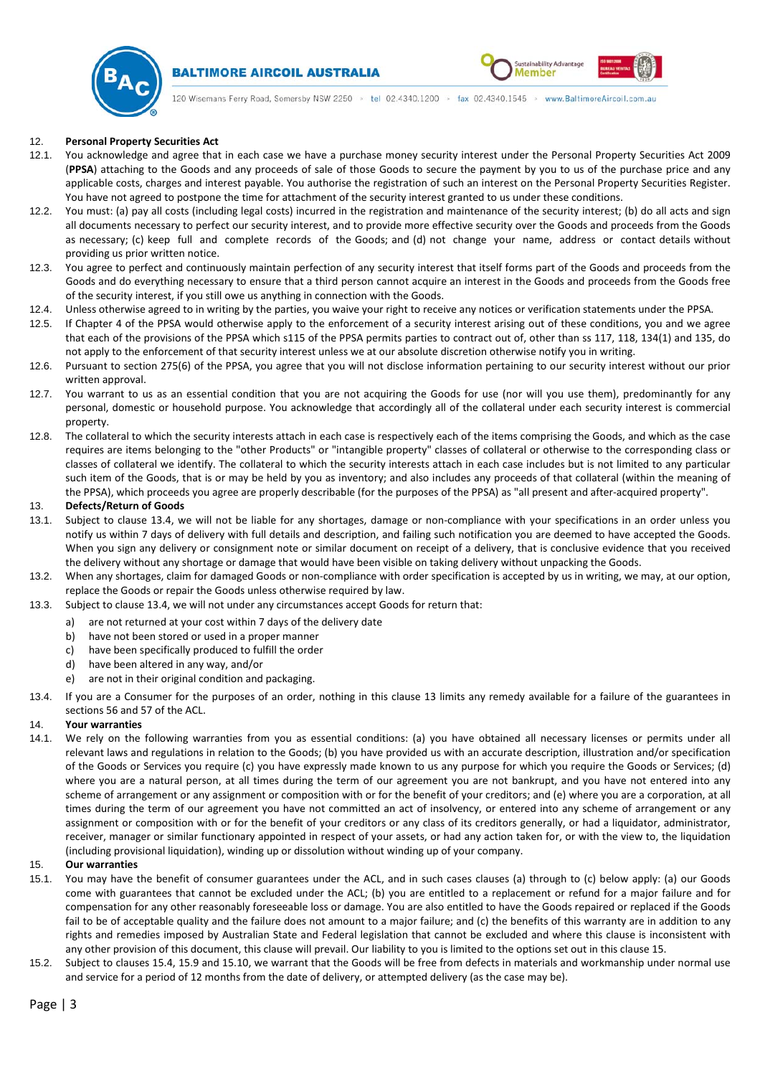

# **BALTIMORE AIRCOIL AUSTRALIA**



120 Wisemans Ferry Road, Somersby NSW 2250 > tel 02.4340.1200 > fax 02.4340.1545 > www.BaltimoreAircoil.com.au

## 12. **Personal Property Securities Act**

- 12.1. You acknowledge and agree that in each case we have a purchase money security interest under the Personal Property Securities Act 2009 (**PPSA**) attaching to the Goods and any proceeds of sale of those Goods to secure the payment by you to us of the purchase price and any applicable costs, charges and interest payable. You authorise the registration of such an interest on the Personal Property Securities Register. You have not agreed to postpone the time for attachment of the security interest granted to us under these conditions.
- 12.2. You must: (a) pay all costs (including legal costs) incurred in the registration and maintenance of the security interest; (b) do all acts and sign all documents necessary to perfect our security interest, and to provide more effective security over the Goods and proceeds from the Goods as necessary; (c) keep full and complete records of the Goods; and (d) not change your name, address or contact details without providing us prior written notice.
- 12.3. You agree to perfect and continuously maintain perfection of any security interest that itself forms part of the Goods and proceeds from the Goods and do everything necessary to ensure that a third person cannot acquire an interest in the Goods and proceeds from the Goods free of the security interest, if you still owe us anything in connection with the Goods.
- 12.4. Unless otherwise agreed to in writing by the parties, you waive your right to receive any notices or verification statements under the PPSA.
- 12.5. If Chapter 4 of the PPSA would otherwise apply to the enforcement of a security interest arising out of these conditions, you and we agree that each of the provisions of the PPSA which s115 of the PPSA permits parties to contract out of, other than ss 117, 118, 134(1) and 135, do not apply to the enforcement of that security interest unless we at our absolute discretion otherwise notify you in writing.
- 12.6. Pursuant to section 275(6) of the PPSA, you agree that you will not disclose information pertaining to our security interest without our prior written approval.
- 12.7. You warrant to us as an essential condition that you are not acquiring the Goods for use (nor will you use them), predominantly for any personal, domestic or household purpose. You acknowledge that accordingly all of the collateral under each security interest is commercial property.
- 12.8. The collateral to which the security interests attach in each case is respectively each of the items comprising the Goods, and which as the case requires are items belonging to the "other Products" or "intangible property" classes of collateral or otherwise to the corresponding class or classes of collateral we identify. The collateral to which the security interests attach in each case includes but is not limited to any particular such item of the Goods, that is or may be held by you as inventory; and also includes any proceeds of that collateral (within the meaning of the PPSA), which proceeds you agree are properly describable (for the purposes of the PPSA) as "all present and after-acquired property".

## <span id="page-2-1"></span>13. **Defects/Return of Goods**

- 13.1. Subject to clause [13.4,](#page-2-0) we will not be liable for any shortages, damage or non-compliance with your specifications in an order unless you notify us within 7 days of delivery with full details and description, and failing such notification you are deemed to have accepted the Goods. When you sign any delivery or consignment note or similar document on receipt of a delivery, that is conclusive evidence that you received the delivery without any shortage or damage that would have been visible on taking delivery without unpacking the Goods.
- 13.2. When any shortages, claim for damaged Goods or non-compliance with order specification is accepted by us in writing, we may, at our option, replace the Goods or repair the Goods unless otherwise required by law.
- 13.3. Subject to claus[e 13.4,](#page-2-0) we will not under any circumstances accept Goods for return that:
	- a) are not returned at your cost within 7 days of the delivery date
		- b) have not been stored or used in a proper manner
		- c) have been specifically produced to fulfill the order<br>d) have been altered in any way, and/or
		- have been altered in any way, and/or
		- e) are not in their original condition and packaging.
- <span id="page-2-0"></span>13.4. If you are a Consumer for the purposes of an order, nothing in this clause [13](#page-2-1) limits any remedy available for a failure of the guarantees in sections 56 and 57 of the ACL.

#### 14. **Your warranties**

14.1. We rely on the following warranties from you as essential conditions: (a) you have obtained all necessary licenses or permits under all relevant laws and regulations in relation to the Goods; (b) you have provided us with an accurate description, illustration and/or specification of the Goods or Services you require (c) you have expressly made known to us any purpose for which you require the Goods or Services; (d) where you are a natural person, at all times during the term of our agreement you are not bankrupt, and you have not entered into any scheme of arrangement or any assignment or composition with or for the benefit of your creditors; and (e) where you are a corporation, at all times during the term of our agreement you have not committed an act of insolvency, or entered into any scheme of arrangement or any assignment or composition with or for the benefit of your creditors or any class of its creditors generally, or had a liquidator, administrator, receiver, manager or similar functionary appointed in respect of your assets, or had any action taken for, or with the view to, the liquidation (including provisional liquidation), winding up or dissolution without winding up of your company.

#### <span id="page-2-2"></span>15. **Our warranties**

- 15.1. You may have the benefit of consumer guarantees under the ACL, and in such cases clauses (a) through to (c) below apply: (a) our Goods come with guarantees that cannot be excluded under the ACL; (b) you are entitled to a replacement or refund for a major failure and for compensation for any other reasonably foreseeable loss or damage. You are also entitled to have the Goods repaired or replaced if the Goods fail to be of acceptable quality and the failure does not amount to a major failure; and (c) the benefits of this warranty are in addition to any rights and remedies imposed by Australian State and Federal legislation that cannot be excluded and where this clause is inconsistent with any other provision of this document, this clause will prevail. Our liability to you is limited to the options set out in this claus[e 15.](#page-2-2)
- 15.2. Subject to clause[s 15.4,](#page-3-0) [15.9](#page-3-1) and [15.10,](#page-3-2) we warrant that the Goods will be free from defects in materials and workmanship under normal use and service for a period of 12 months from the date of delivery, or attempted delivery (as the case may be).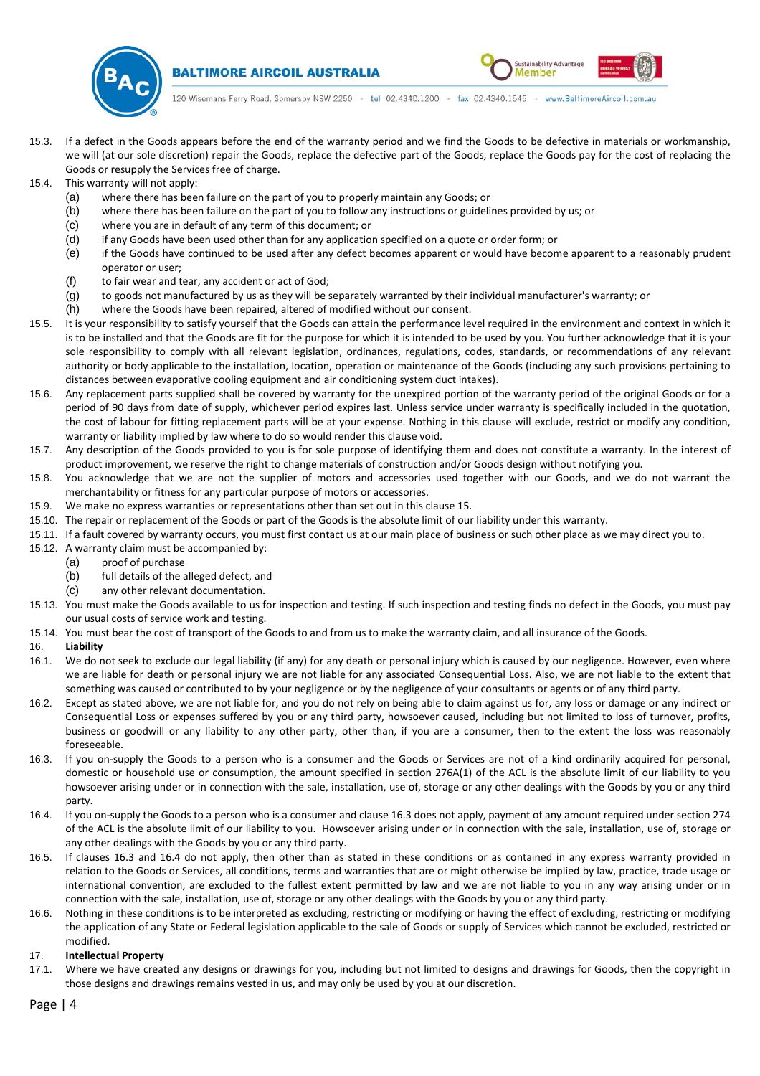

**BALTIMORE AIRCOIL AUSTRALIA** 



120 Wisemans Ferry Road, Somersby NSW 2250 > tel 02.4340.1200 > fax 02.4340.1545 > www.BaltimoreAircoil.com.au

- 15.3. If a defect in the Goods appears before the end of the warranty period and we find the Goods to be defective in materials or workmanship, we will (at our sole discretion) repair the Goods, replace the defective part of the Goods, replace the Goods pay for the cost of replacing the Goods or resupply the Services free of charge.
- <span id="page-3-0"></span>15.4. This warranty will not apply:
	- (a) where there has been failure on the part of you to properly maintain any Goods; or
	- (b) where there has been failure on the part of you to follow any instructions or guidelines provided by us; or
	- (c) where you are in default of any term of this document; or
	- (d) if any Goods have been used other than for any application specified on a quote or order form; or
	- (e) if the Goods have continued to be used after any defect becomes apparent or would have become apparent to a reasonably prudent operator or user;
	- (f) to fair wear and tear, any accident or act of God;
	- (g) to goods not manufactured by us as they will be separately warranted by their individual manufacturer's warranty; or
	- (h) where the Goods have been repaired, altered of modified without our consent.
- 15.5. It is your responsibility to satisfy yourself that the Goods can attain the performance level required in the environment and context in which it is to be installed and that the Goods are fit for the purpose for which it is intended to be used by you. You further acknowledge that it is your sole responsibility to comply with all relevant legislation, ordinances, regulations, codes, standards, or recommendations of any relevant authority or body applicable to the installation, location, operation or maintenance of the Goods (including any such provisions pertaining to distances between evaporative cooling equipment and air conditioning system duct intakes).
- 15.6. Any replacement parts supplied shall be covered by warranty for the unexpired portion of the warranty period of the original Goods or for a period of 90 days from date of supply, whichever period expires last. Unless service under warranty is specifically included in the quotation, the cost of labour for fitting replacement parts will be at your expense. Nothing in this clause will exclude, restrict or modify any condition, warranty or liability implied by law where to do so would render this clause void.
- 15.7. Any description of the Goods provided to you is for sole purpose of identifying them and does not constitute a warranty. In the interest of product improvement, we reserve the right to change materials of construction and/or Goods design without notifying you.
- 15.8. You acknowledge that we are not the supplier of motors and accessories used together with our Goods, and we do not warrant the merchantability or fitness for any particular purpose of motors or accessories.
- <span id="page-3-1"></span>15.9. We make no express warranties or representations other than set out in this claus[e 15.](#page-2-2)
- <span id="page-3-2"></span>15.10. The repair or replacement of the Goods or part of the Goods is the absolute limit of our liability under this warranty.
- 15.11. If a fault covered by warranty occurs, you must first contact us at our main place of business or such other place as we may direct you to.
- 15.12. A warranty claim must be accompanied by:
	- (a) proof of purchase
	- (b) full details of the alleged defect, and
	- (c) any other relevant documentation.
- 15.13. You must make the Goods available to us for inspection and testing. If such inspection and testing finds no defect in the Goods, you must pay our usual costs of service work and testing.
- 15.14. You must bear the cost of transport of the Goods to and from us to make the warranty claim, and all insurance of the Goods.
- 16. **Liability**
- 16.1. We do not seek to exclude our legal liability (if any) for any death or personal injury which is caused by our negligence. However, even where we are liable for death or personal injury we are not liable for any associated Consequential Loss. Also, we are not liable to the extent that something was caused or contributed to by your negligence or by the negligence of your consultants or agents or of any third party.
- 16.2. Except as stated above, we are not liable for, and you do not rely on being able to claim against us for, any loss or damage or any indirect or Consequential Loss or expenses suffered by you or any third party, howsoever caused, including but not limited to loss of turnover, profits, business or goodwill or any liability to any other party, other than, if you are a consumer, then to the extent the loss was reasonably foreseeable.
- <span id="page-3-3"></span>16.3. If you on-supply the Goods to a person who is a consumer and the Goods or Services are not of a kind ordinarily acquired for personal, domestic or household use or consumption, the amount specified in section 276A(1) of the ACL is the absolute limit of our liability to you howsoever arising under or in connection with the sale, installation, use of, storage or any other dealings with the Goods by you or any third party.
- <span id="page-3-4"></span>16.4. If you on-supply the Goods to a person who is a consumer and claus[e 16.3](#page-3-3) does not apply, payment of any amount required under section 274 of the ACL is the absolute limit of our liability to you. Howsoever arising under or in connection with the sale, installation, use of, storage or any other dealings with the Goods by you or any third party.
- 16.5. If clauses [16.3](#page-3-3) and [16.4](#page-3-4) do not apply, then other than as stated in these conditions or as contained in any express warranty provided in relation to the Goods or Services, all conditions, terms and warranties that are or might otherwise be implied by law, practice, trade usage or international convention, are excluded to the fullest extent permitted by law and we are not liable to you in any way arising under or in connection with the sale, installation, use of, storage or any other dealings with the Goods by you or any third party.
- 16.6. Nothing in these conditions is to be interpreted as excluding, restricting or modifying or having the effect of excluding, restricting or modifying the application of any State or Federal legislation applicable to the sale of Goods or supply of Services which cannot be excluded, restricted or modified.

# 17. **Intellectual Property**

17.1. Where we have created any designs or drawings for you, including but not limited to designs and drawings for Goods, then the copyright in those designs and drawings remains vested in us, and may only be used by you at our discretion.